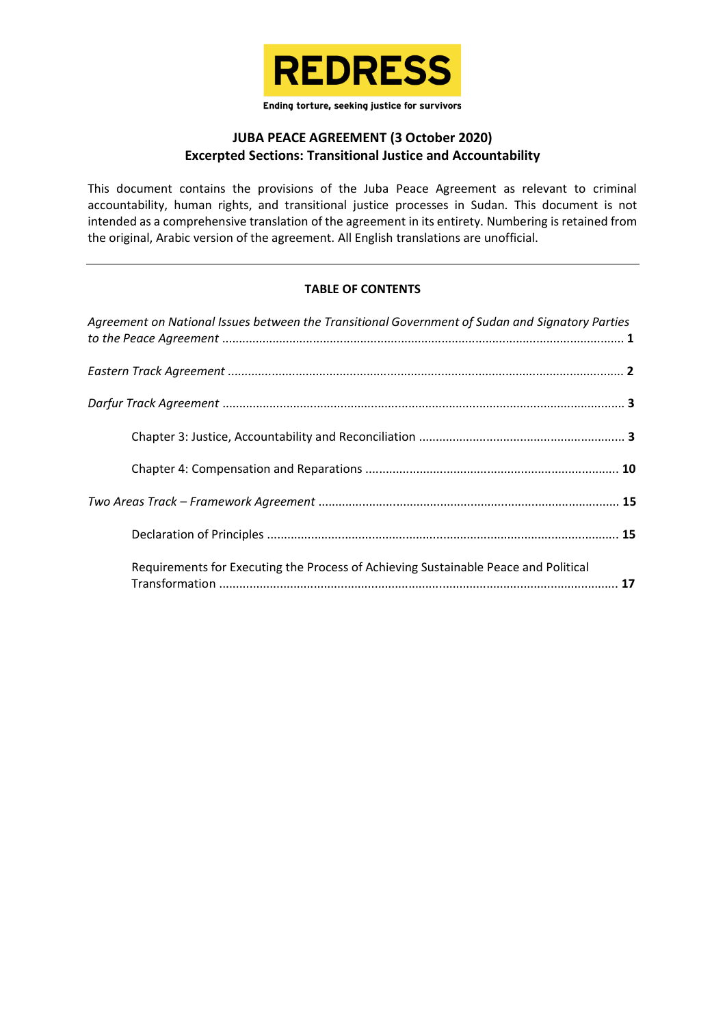

Ending torture, seeking justice for survivors

# **JUBA PEACE AGREEMENT (3 October 2020) Excerpted Sections: Transitional Justice and Accountability**

This document contains the provisions of the Juba Peace Agreement as relevant to criminal accountability, human rights, and transitional justice processes in Sudan. This document is not intended as a comprehensive translation of the agreement in its entirety. Numbering is retained from the original, Arabic version of the agreement. All English translations are unofficial.

# **TABLE OF CONTENTS**

| Agreement on National Issues between the Transitional Government of Sudan and Signatory Parties |  |
|-------------------------------------------------------------------------------------------------|--|
|                                                                                                 |  |
|                                                                                                 |  |
|                                                                                                 |  |
|                                                                                                 |  |
|                                                                                                 |  |
|                                                                                                 |  |
| Requirements for Executing the Process of Achieving Sustainable Peace and Political             |  |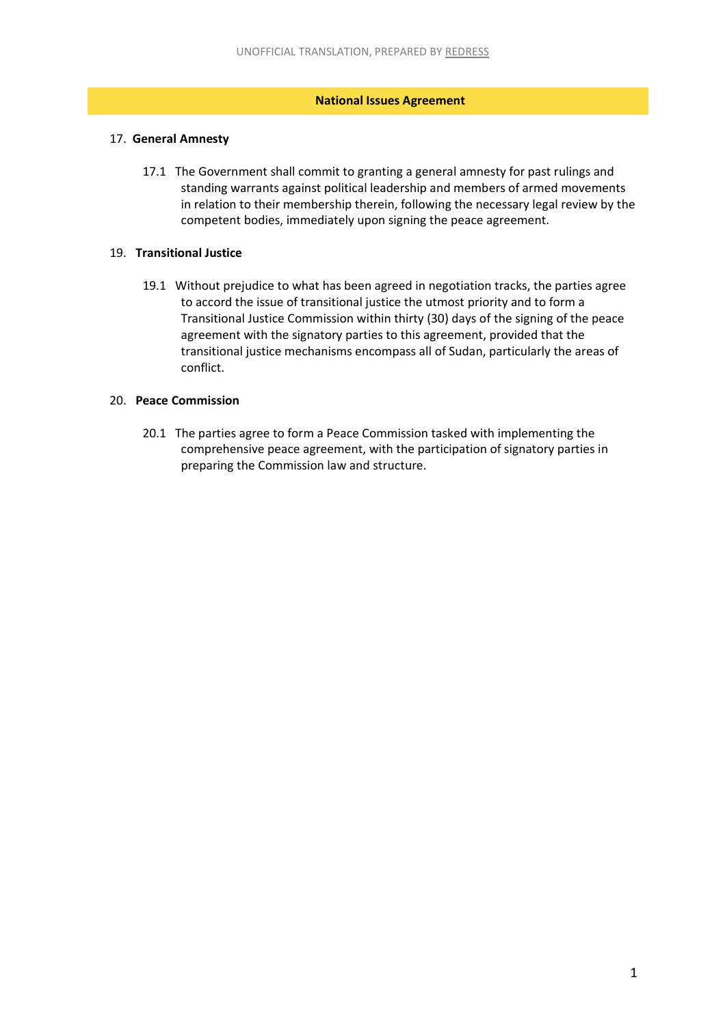## **National Issues Agreement**

# <span id="page-1-0"></span>17. **General Amnesty**

17.1 The Government shall commit to granting a general amnesty for past rulings and standing warrants against political leadership and members of armed movements in relation to their membership therein, following the necessary legal review by the competent bodies, immediately upon signing the peace agreement.

# 19. **Transitional Justice**

19.1 Without prejudice to what has been agreed in negotiation tracks, the parties agree to accord the issue of transitional justice the utmost priority and to form a Transitional Justice Commission within thirty (30) days of the signing of the peace agreement with the signatory parties to this agreement, provided that the transitional justice mechanisms encompass all of Sudan, particularly the areas of conflict.

#### 20. **Peace Commission**

20.1 The parties agree to form a Peace Commission tasked with implementing the comprehensive peace agreement, with the participation of signatory parties in preparing the Commission law and structure.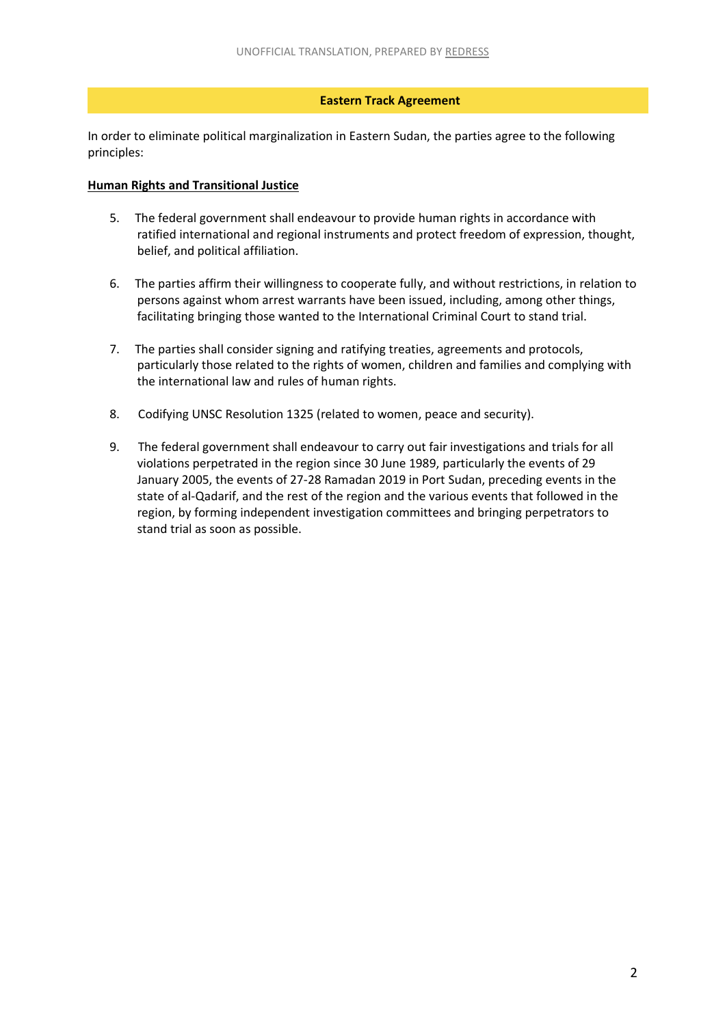## **Eastern Track Agreement**

<span id="page-2-0"></span>In order to eliminate political marginalization in Eastern Sudan, the parties agree to the following principles:

## **Human Rights and Transitional Justice**

- 5. The federal government shall endeavour to provide human rights in accordance with ratified international and regional instruments and protect freedom of expression, thought, belief, and political affiliation.
- 6. The parties affirm their willingness to cooperate fully, and without restrictions, in relation to persons against whom arrest warrants have been issued, including, among other things, facilitating bringing those wanted to the International Criminal Court to stand trial.
- 7. The parties shall consider signing and ratifying treaties, agreements and protocols, particularly those related to the rights of women, children and families and complying with the international law and rules of human rights.
- 8. Codifying UNSC Resolution 1325 (related to women, peace and security).
- 9. The federal government shall endeavour to carry out fair investigations and trials for all violations perpetrated in the region since 30 June 1989, particularly the events of 29 January 2005, the events of 27-28 Ramadan 2019 in Port Sudan, preceding events in the state of al-Qadarif, and the rest of the region and the various events that followed in the region, by forming independent investigation committees and bringing perpetrators to stand trial as soon as possible.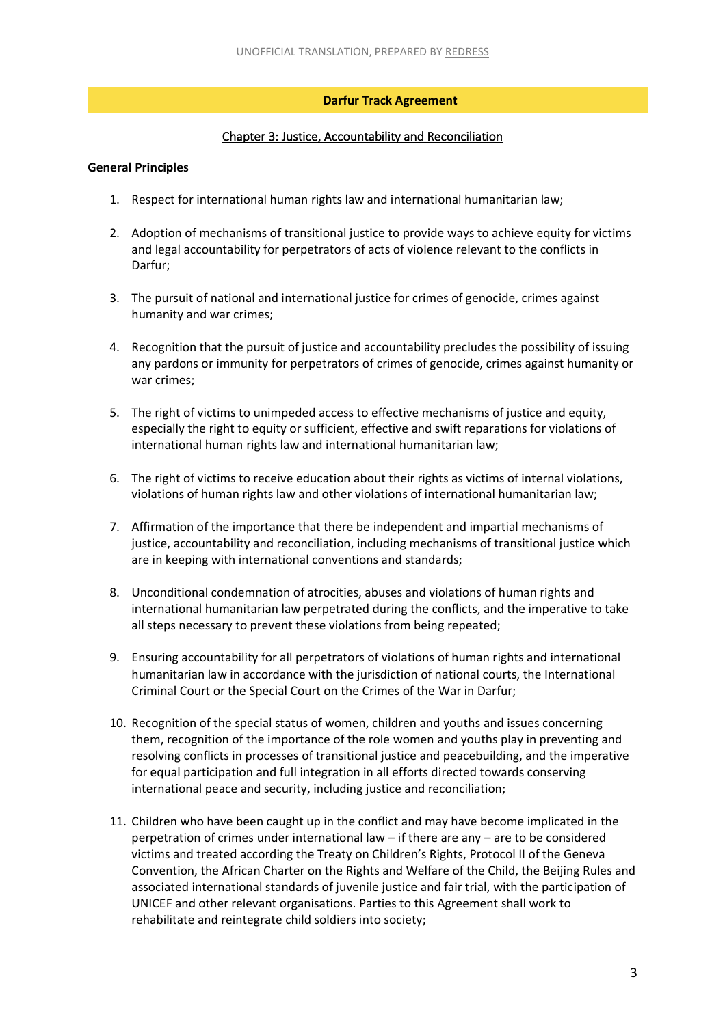# **Darfur Track Agreement**

# Chapter 3: Justice, Accountability and Reconciliation

#### <span id="page-3-0"></span>**General Principles**

- 1. Respect for international human rights law and international humanitarian law;
- 2. Adoption of mechanisms of transitional justice to provide ways to achieve equity for victims and legal accountability for perpetrators of acts of violence relevant to the conflicts in Darfur;
- 3. The pursuit of national and international justice for crimes of genocide, crimes against humanity and war crimes;
- 4. Recognition that the pursuit of justice and accountability precludes the possibility of issuing any pardons or immunity for perpetrators of crimes of genocide, crimes against humanity or war crimes;
- 5. The right of victims to unimpeded access to effective mechanisms of justice and equity, especially the right to equity or sufficient, effective and swift reparations for violations of international human rights law and international humanitarian law;
- 6. The right of victims to receive education about their rights as victims of internal violations, violations of human rights law and other violations of international humanitarian law;
- 7. Affirmation of the importance that there be independent and impartial mechanisms of justice, accountability and reconciliation, including mechanisms of transitional justice which are in keeping with international conventions and standards;
- 8. Unconditional condemnation of atrocities, abuses and violations of human rights and international humanitarian law perpetrated during the conflicts, and the imperative to take all steps necessary to prevent these violations from being repeated;
- 9. Ensuring accountability for all perpetrators of violations of human rights and international humanitarian law in accordance with the jurisdiction of national courts, the International Criminal Court or the Special Court on the Crimes of the War in Darfur;
- 10. Recognition of the special status of women, children and youths and issues concerning them, recognition of the importance of the role women and youths play in preventing and resolving conflicts in processes of transitional justice and peacebuilding, and the imperative for equal participation and full integration in all efforts directed towards conserving international peace and security, including justice and reconciliation;
- 11. Children who have been caught up in the conflict and may have become implicated in the perpetration of crimes under international law – if there are any – are to be considered victims and treated according the Treaty on Children's Rights, Protocol II of the Geneva Convention, the African Charter on the Rights and Welfare of the Child, the Beijing Rules and associated international standards of juvenile justice and fair trial, with the participation of UNICEF and other relevant organisations. Parties to this Agreement shall work to rehabilitate and reintegrate child soldiers into society;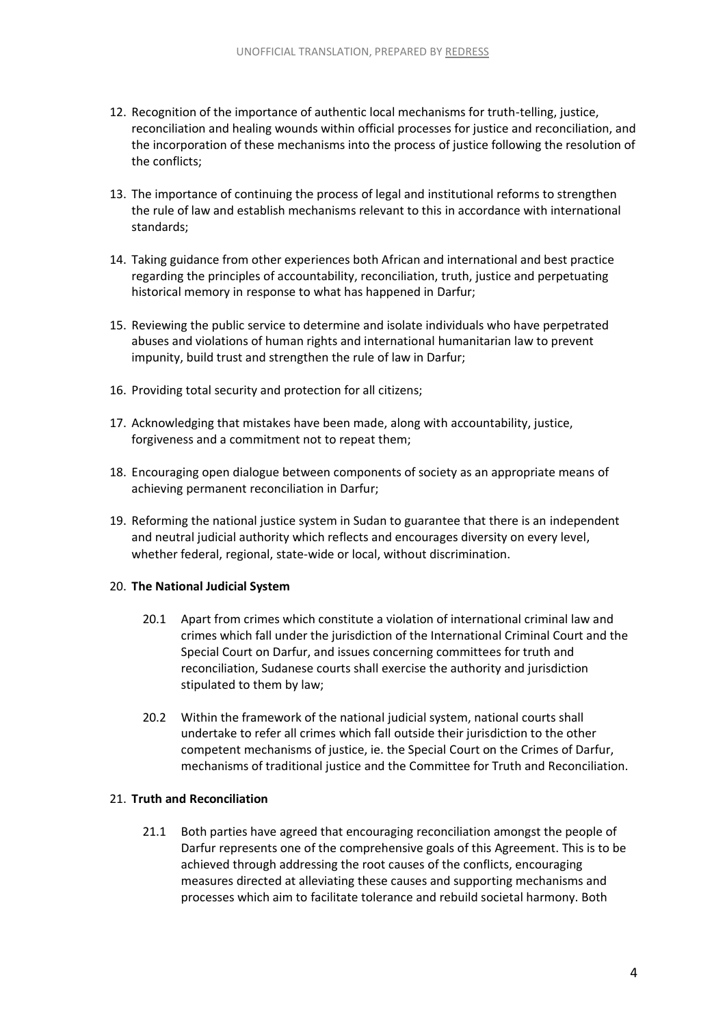- 12. Recognition of the importance of authentic local mechanisms for truth-telling, justice, reconciliation and healing wounds within official processes for justice and reconciliation, and the incorporation of these mechanisms into the process of justice following the resolution of the conflicts;
- 13. The importance of continuing the process of legal and institutional reforms to strengthen the rule of law and establish mechanisms relevant to this in accordance with international standards;
- 14. Taking guidance from other experiences both African and international and best practice regarding the principles of accountability, reconciliation, truth, justice and perpetuating historical memory in response to what has happened in Darfur;
- 15. Reviewing the public service to determine and isolate individuals who have perpetrated abuses and violations of human rights and international humanitarian law to prevent impunity, build trust and strengthen the rule of law in Darfur;
- 16. Providing total security and protection for all citizens;
- 17. Acknowledging that mistakes have been made, along with accountability, justice, forgiveness and a commitment not to repeat them;
- 18. Encouraging open dialogue between components of society as an appropriate means of achieving permanent reconciliation in Darfur;
- 19. Reforming the national justice system in Sudan to guarantee that there is an independent and neutral judicial authority which reflects and encourages diversity on every level, whether federal, regional, state-wide or local, without discrimination.

#### 20. **The National Judicial System**

- 20.1 Apart from crimes which constitute a violation of international criminal law and crimes which fall under the jurisdiction of the International Criminal Court and the Special Court on Darfur, and issues concerning committees for truth and reconciliation, Sudanese courts shall exercise the authority and jurisdiction stipulated to them by law;
- 20.2 Within the framework of the national judicial system, national courts shall undertake to refer all crimes which fall outside their jurisdiction to the other competent mechanisms of justice, ie. the Special Court on the Crimes of Darfur, mechanisms of traditional justice and the Committee for Truth and Reconciliation.

#### 21. **Truth and Reconciliation**

21.1 Both parties have agreed that encouraging reconciliation amongst the people of Darfur represents one of the comprehensive goals of this Agreement. This is to be achieved through addressing the root causes of the conflicts, encouraging measures directed at alleviating these causes and supporting mechanisms and processes which aim to facilitate tolerance and rebuild societal harmony. Both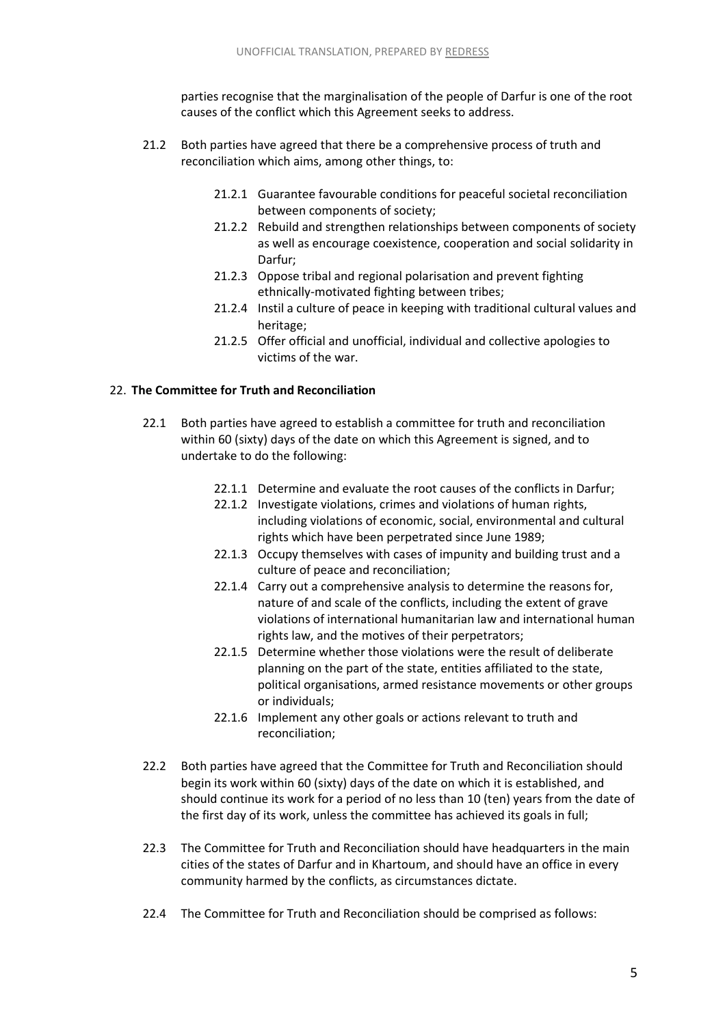parties recognise that the marginalisation of the people of Darfur is one of the root causes of the conflict which this Agreement seeks to address.

- 21.2 Both parties have agreed that there be a comprehensive process of truth and reconciliation which aims, among other things, to:
	- 21.2.1 Guarantee favourable conditions for peaceful societal reconciliation between components of society;
	- 21.2.2 Rebuild and strengthen relationships between components of society as well as encourage coexistence, cooperation and social solidarity in Darfur;
	- 21.2.3 Oppose tribal and regional polarisation and prevent fighting ethnically-motivated fighting between tribes;
	- 21.2.4 Instil a culture of peace in keeping with traditional cultural values and heritage;
	- 21.2.5 Offer official and unofficial, individual and collective apologies to victims of the war.

# 22. **The Committee for Truth and Reconciliation**

- 22.1 Both parties have agreed to establish a committee for truth and reconciliation within 60 (sixty) days of the date on which this Agreement is signed, and to undertake to do the following:
	- 22.1.1 Determine and evaluate the root causes of the conflicts in Darfur;
	- 22.1.2 Investigate violations, crimes and violations of human rights, including violations of economic, social, environmental and cultural rights which have been perpetrated since June 1989;
	- 22.1.3 Occupy themselves with cases of impunity and building trust and a culture of peace and reconciliation;
	- 22.1.4 Carry out a comprehensive analysis to determine the reasons for, nature of and scale of the conflicts, including the extent of grave violations of international humanitarian law and international human rights law, and the motives of their perpetrators;
	- 22.1.5 Determine whether those violations were the result of deliberate planning on the part of the state, entities affiliated to the state, political organisations, armed resistance movements or other groups or individuals;
	- 22.1.6 Implement any other goals or actions relevant to truth and reconciliation;
- 22.2 Both parties have agreed that the Committee for Truth and Reconciliation should begin its work within 60 (sixty) days of the date on which it is established, and should continue its work for a period of no less than 10 (ten) years from the date of the first day of its work, unless the committee has achieved its goals in full;
- 22.3 The Committee for Truth and Reconciliation should have headquarters in the main cities of the states of Darfur and in Khartoum, and should have an office in every community harmed by the conflicts, as circumstances dictate.
- 22.4 The Committee for Truth and Reconciliation should be comprised as follows: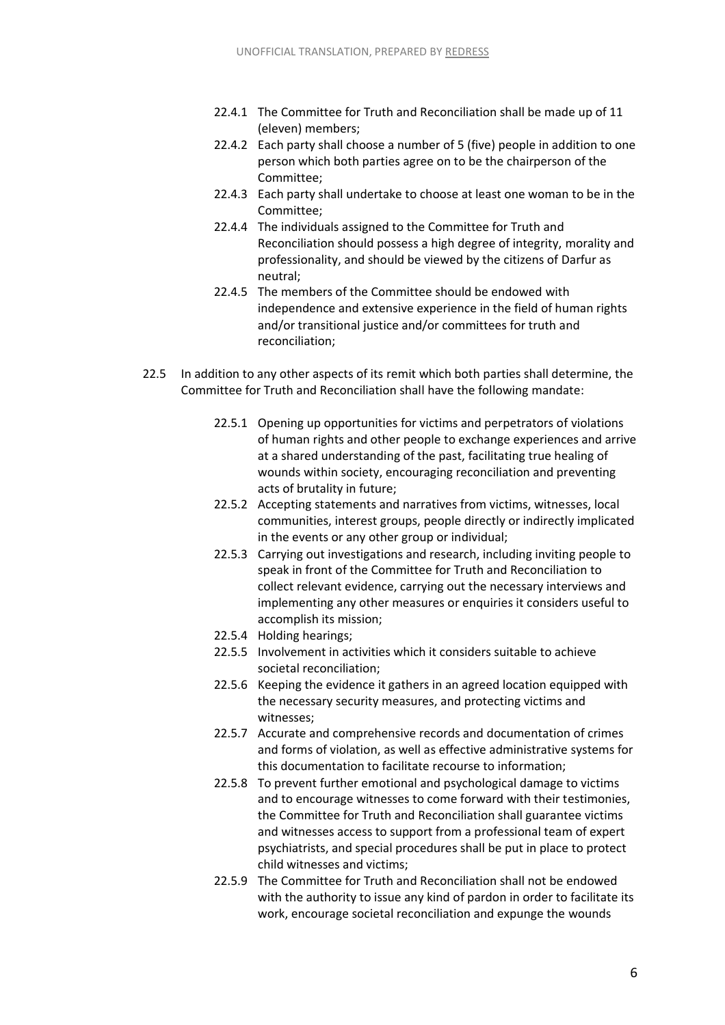- 22.4.1 The Committee for Truth and Reconciliation shall be made up of 11 (eleven) members;
- 22.4.2 Each party shall choose a number of 5 (five) people in addition to one person which both parties agree on to be the chairperson of the Committee;
- 22.4.3 Each party shall undertake to choose at least one woman to be in the Committee;
- 22.4.4 The individuals assigned to the Committee for Truth and Reconciliation should possess a high degree of integrity, morality and professionality, and should be viewed by the citizens of Darfur as neutral;
- 22.4.5 The members of the Committee should be endowed with independence and extensive experience in the field of human rights and/or transitional justice and/or committees for truth and reconciliation;
- 22.5 In addition to any other aspects of its remit which both parties shall determine, the Committee for Truth and Reconciliation shall have the following mandate:
	- 22.5.1 Opening up opportunities for victims and perpetrators of violations of human rights and other people to exchange experiences and arrive at a shared understanding of the past, facilitating true healing of wounds within society, encouraging reconciliation and preventing acts of brutality in future;
	- 22.5.2 Accepting statements and narratives from victims, witnesses, local communities, interest groups, people directly or indirectly implicated in the events or any other group or individual;
	- 22.5.3 Carrying out investigations and research, including inviting people to speak in front of the Committee for Truth and Reconciliation to collect relevant evidence, carrying out the necessary interviews and implementing any other measures or enquiries it considers useful to accomplish its mission;
	- 22.5.4 Holding hearings;
	- 22.5.5 Involvement in activities which it considers suitable to achieve societal reconciliation;
	- 22.5.6 Keeping the evidence it gathers in an agreed location equipped with the necessary security measures, and protecting victims and witnesses;
	- 22.5.7 Accurate and comprehensive records and documentation of crimes and forms of violation, as well as effective administrative systems for this documentation to facilitate recourse to information;
	- 22.5.8 To prevent further emotional and psychological damage to victims and to encourage witnesses to come forward with their testimonies, the Committee for Truth and Reconciliation shall guarantee victims and witnesses access to support from a professional team of expert psychiatrists, and special procedures shall be put in place to protect child witnesses and victims;
	- 22.5.9 The Committee for Truth and Reconciliation shall not be endowed with the authority to issue any kind of pardon in order to facilitate its work, encourage societal reconciliation and expunge the wounds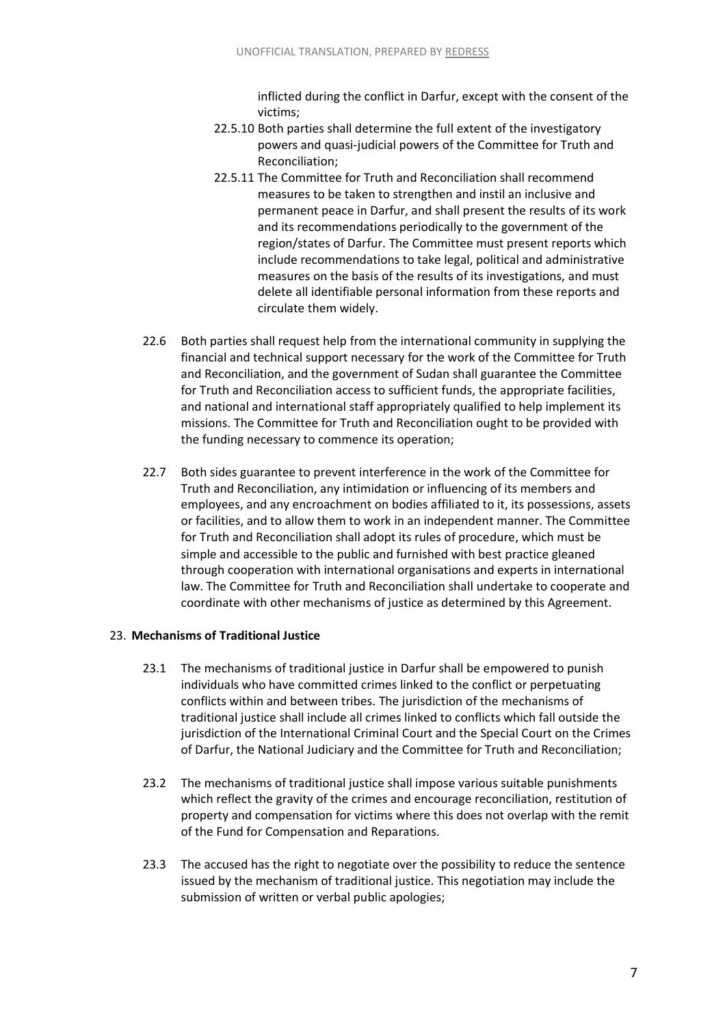inflicted during the conflict in Darfur, except with the consent of the victims;

- 22.5.10 Both parties shall determine the full extent of the investigatory powers and quasi-judicial powers of the Committee for Truth and Reconciliation;
- 22.5.11 The Committee for Truth and Reconciliation shall recommend measures to be taken to strengthen and instil an inclusive and permanent peace in Darfur, and shall present the results of its work and its recommendations periodically to the government of the region/states of Darfur. The Committee must present reports which include recommendations to take legal, political and administrative measures on the basis of the results of its investigations, and must delete all identifiable personal information from these reports and circulate them widely.
- 22.6 Both parties shall request help from the international community in supplying the financial and technical support necessary for the work of the Committee for Truth and Reconciliation, and the government of Sudan shall guarantee the Committee for Truth and Reconciliation access to sufficient funds, the appropriate facilities, and national and international staff appropriately qualified to help implement its missions. The Committee for Truth and Reconciliation ought to be provided with the funding necessary to commence its operation;
- 22.7 Both sides guarantee to prevent interference in the work of the Committee for Truth and Reconciliation, any intimidation or influencing of its members and employees, and any encroachment on bodies affiliated to it, its possessions, assets or facilities, and to allow them to work in an independent manner. The Committee for Truth and Reconciliation shall adopt its rules of procedure, which must be simple and accessible to the public and furnished with best practice gleaned through cooperation with international organisations and experts in international law. The Committee for Truth and Reconciliation shall undertake to cooperate and coordinate with other mechanisms of justice as determined by this Agreement.

#### 23. **Mechanisms of Traditional Justice**

- 23.1 The mechanisms of traditional justice in Darfur shall be empowered to punish individuals who have committed crimes linked to the conflict or perpetuating conflicts within and between tribes. The jurisdiction of the mechanisms of traditional justice shall include all crimes linked to conflicts which fall outside the jurisdiction of the International Criminal Court and the Special Court on the Crimes of Darfur, the National Judiciary and the Committee for Truth and Reconciliation;
- 23.2 The mechanisms of traditional justice shall impose various suitable punishments which reflect the gravity of the crimes and encourage reconciliation, restitution of property and compensation for victims where this does not overlap with the remit of the Fund for Compensation and Reparations.
- 23.3 The accused has the right to negotiate over the possibility to reduce the sentence issued by the mechanism of traditional justice. This negotiation may include the submission of written or verbal public apologies;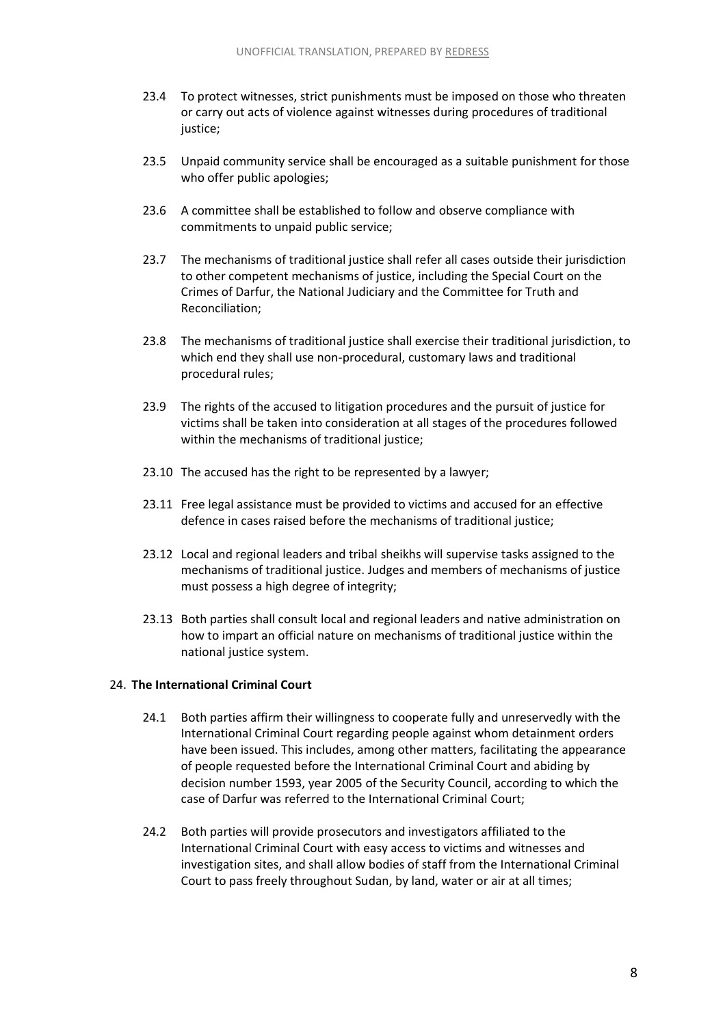- 23.4 To protect witnesses, strict punishments must be imposed on those who threaten or carry out acts of violence against witnesses during procedures of traditional justice;
- 23.5 Unpaid community service shall be encouraged as a suitable punishment for those who offer public apologies;
- 23.6 A committee shall be established to follow and observe compliance with commitments to unpaid public service;
- 23.7 The mechanisms of traditional justice shall refer all cases outside their jurisdiction to other competent mechanisms of justice, including the Special Court on the Crimes of Darfur, the National Judiciary and the Committee for Truth and Reconciliation;
- 23.8 The mechanisms of traditional justice shall exercise their traditional jurisdiction, to which end they shall use non-procedural, customary laws and traditional procedural rules;
- 23.9 The rights of the accused to litigation procedures and the pursuit of justice for victims shall be taken into consideration at all stages of the procedures followed within the mechanisms of traditional justice;
- 23.10 The accused has the right to be represented by a lawyer;
- 23.11 Free legal assistance must be provided to victims and accused for an effective defence in cases raised before the mechanisms of traditional justice;
- 23.12 Local and regional leaders and tribal sheikhs will supervise tasks assigned to the mechanisms of traditional justice. Judges and members of mechanisms of justice must possess a high degree of integrity;
- 23.13 Both parties shall consult local and regional leaders and native administration on how to impart an official nature on mechanisms of traditional justice within the national justice system.

#### 24. **The International Criminal Court**

- 24.1 Both parties affirm their willingness to cooperate fully and unreservedly with the International Criminal Court regarding people against whom detainment orders have been issued. This includes, among other matters, facilitating the appearance of people requested before the International Criminal Court and abiding by decision number 1593, year 2005 of the Security Council, according to which the case of Darfur was referred to the International Criminal Court;
- 24.2 Both parties will provide prosecutors and investigators affiliated to the International Criminal Court with easy access to victims and witnesses and investigation sites, and shall allow bodies of staff from the International Criminal Court to pass freely throughout Sudan, by land, water or air at all times;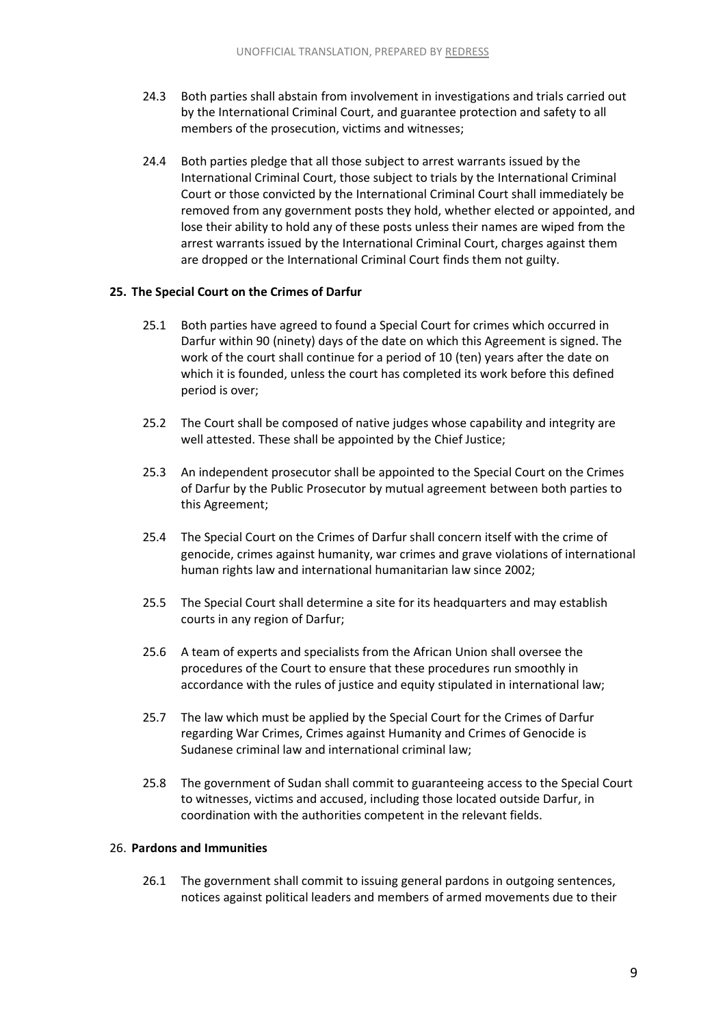- 24.3 Both parties shall abstain from involvement in investigations and trials carried out by the International Criminal Court, and guarantee protection and safety to all members of the prosecution, victims and witnesses;
- 24.4 Both parties pledge that all those subject to arrest warrants issued by the International Criminal Court, those subject to trials by the International Criminal Court or those convicted by the International Criminal Court shall immediately be removed from any government posts they hold, whether elected or appointed, and lose their ability to hold any of these posts unless their names are wiped from the arrest warrants issued by the International Criminal Court, charges against them are dropped or the International Criminal Court finds them not guilty.

#### **25. The Special Court on the Crimes of Darfur**

- 25.1 Both parties have agreed to found a Special Court for crimes which occurred in Darfur within 90 (ninety) days of the date on which this Agreement is signed. The work of the court shall continue for a period of 10 (ten) years after the date on which it is founded, unless the court has completed its work before this defined period is over;
- 25.2 The Court shall be composed of native judges whose capability and integrity are well attested. These shall be appointed by the Chief Justice;
- 25.3 An independent prosecutor shall be appointed to the Special Court on the Crimes of Darfur by the Public Prosecutor by mutual agreement between both parties to this Agreement;
- 25.4 The Special Court on the Crimes of Darfur shall concern itself with the crime of genocide, crimes against humanity, war crimes and grave violations of international human rights law and international humanitarian law since 2002;
- 25.5 The Special Court shall determine a site for its headquarters and may establish courts in any region of Darfur;
- 25.6 A team of experts and specialists from the African Union shall oversee the procedures of the Court to ensure that these procedures run smoothly in accordance with the rules of justice and equity stipulated in international law;
- 25.7 The law which must be applied by the Special Court for the Crimes of Darfur regarding War Crimes, Crimes against Humanity and Crimes of Genocide is Sudanese criminal law and international criminal law;
- 25.8 The government of Sudan shall commit to guaranteeing access to the Special Court to witnesses, victims and accused, including those located outside Darfur, in coordination with the authorities competent in the relevant fields.

#### 26. **Pardons and Immunities**

26.1 The government shall commit to issuing general pardons in outgoing sentences, notices against political leaders and members of armed movements due to their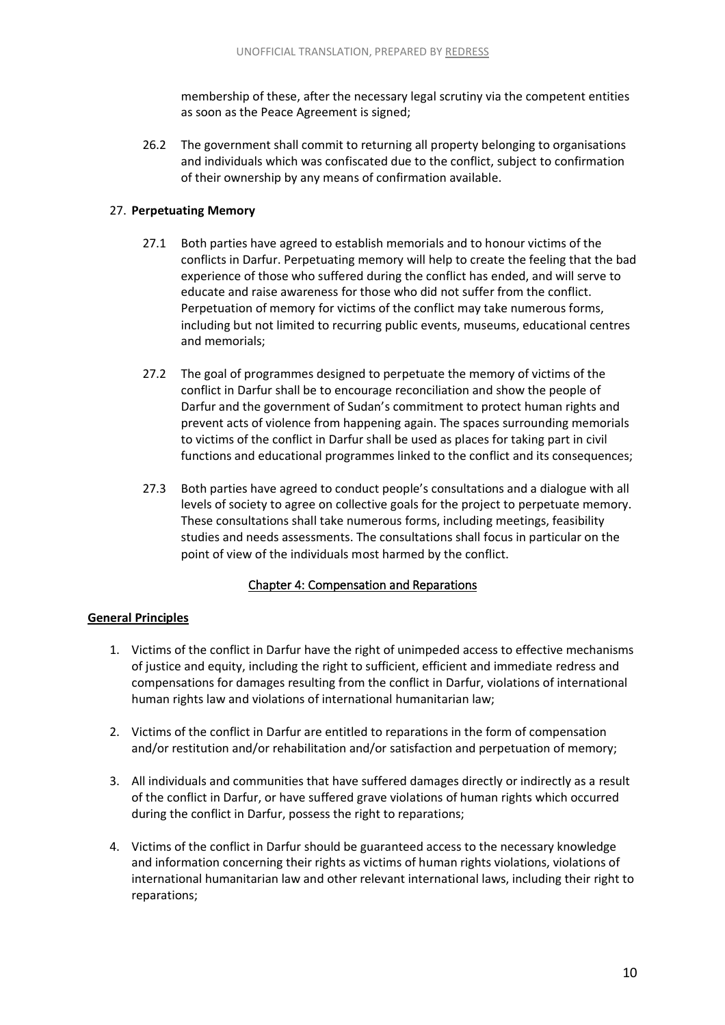membership of these, after the necessary legal scrutiny via the competent entities as soon as the Peace Agreement is signed;

26.2 The government shall commit to returning all property belonging to organisations and individuals which was confiscated due to the conflict, subject to confirmation of their ownership by any means of confirmation available.

# 27. **Perpetuating Memory**

- 27.1 Both parties have agreed to establish memorials and to honour victims of the conflicts in Darfur. Perpetuating memory will help to create the feeling that the bad experience of those who suffered during the conflict has ended, and will serve to educate and raise awareness for those who did not suffer from the conflict. Perpetuation of memory for victims of the conflict may take numerous forms, including but not limited to recurring public events, museums, educational centres and memorials;
- 27.2 The goal of programmes designed to perpetuate the memory of victims of the conflict in Darfur shall be to encourage reconciliation and show the people of Darfur and the government of Sudan's commitment to protect human rights and prevent acts of violence from happening again. The spaces surrounding memorials to victims of the conflict in Darfur shall be used as places for taking part in civil functions and educational programmes linked to the conflict and its consequences;
- 27.3 Both parties have agreed to conduct people's consultations and a dialogue with all levels of society to agree on collective goals for the project to perpetuate memory. These consultations shall take numerous forms, including meetings, feasibility studies and needs assessments. The consultations shall focus in particular on the point of view of the individuals most harmed by the conflict.

# Chapter 4: Compensation and Reparations

# <span id="page-10-0"></span>**General Principles**

- 1. Victims of the conflict in Darfur have the right of unimpeded access to effective mechanisms of justice and equity, including the right to sufficient, efficient and immediate redress and compensations for damages resulting from the conflict in Darfur, violations of international human rights law and violations of international humanitarian law;
- 2. Victims of the conflict in Darfur are entitled to reparations in the form of compensation and/or restitution and/or rehabilitation and/or satisfaction and perpetuation of memory;
- 3. All individuals and communities that have suffered damages directly or indirectly as a result of the conflict in Darfur, or have suffered grave violations of human rights which occurred during the conflict in Darfur, possess the right to reparations;
- 4. Victims of the conflict in Darfur should be guaranteed access to the necessary knowledge and information concerning their rights as victims of human rights violations, violations of international humanitarian law and other relevant international laws, including their right to reparations;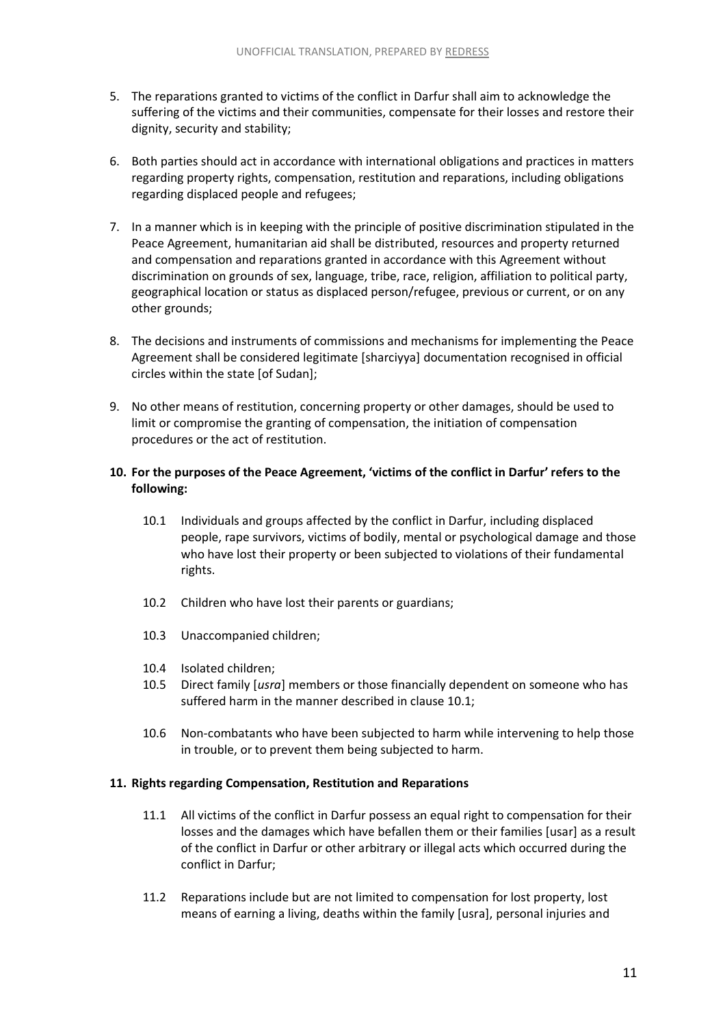- 5. The reparations granted to victims of the conflict in Darfur shall aim to acknowledge the suffering of the victims and their communities, compensate for their losses and restore their dignity, security and stability;
- 6. Both parties should act in accordance with international obligations and practices in matters regarding property rights, compensation, restitution and reparations, including obligations regarding displaced people and refugees;
- 7. In a manner which is in keeping with the principle of positive discrimination stipulated in the Peace Agreement, humanitarian aid shall be distributed, resources and property returned and compensation and reparations granted in accordance with this Agreement without discrimination on grounds of sex, language, tribe, race, religion, affiliation to political party, geographical location or status as displaced person/refugee, previous or current, or on any other grounds;
- 8. The decisions and instruments of commissions and mechanisms for implementing the Peace Agreement shall be considered legitimate [sharciyya] documentation recognised in official circles within the state [of Sudan];
- 9. No other means of restitution, concerning property or other damages, should be used to limit or compromise the granting of compensation, the initiation of compensation procedures or the act of restitution.

# **10. For the purposes of the Peace Agreement, 'victims of the conflict in Darfur' refers to the following:**

- 10.1 Individuals and groups affected by the conflict in Darfur, including displaced people, rape survivors, victims of bodily, mental or psychological damage and those who have lost their property or been subjected to violations of their fundamental rights.
- 10.2 Children who have lost their parents or guardians;
- 10.3 Unaccompanied children;
- 10.4 Isolated children;
- 10.5 Direct family [*usra*] members or those financially dependent on someone who has suffered harm in the manner described in clause 10.1;
- 10.6 Non-combatants who have been subjected to harm while intervening to help those in trouble, or to prevent them being subjected to harm.

#### **11. Rights regarding Compensation, Restitution and Reparations**

- 11.1 All victims of the conflict in Darfur possess an equal right to compensation for their losses and the damages which have befallen them or their families [usar] as a result of the conflict in Darfur or other arbitrary or illegal acts which occurred during the conflict in Darfur;
- 11.2 Reparations include but are not limited to compensation for lost property, lost means of earning a living, deaths within the family [usra], personal injuries and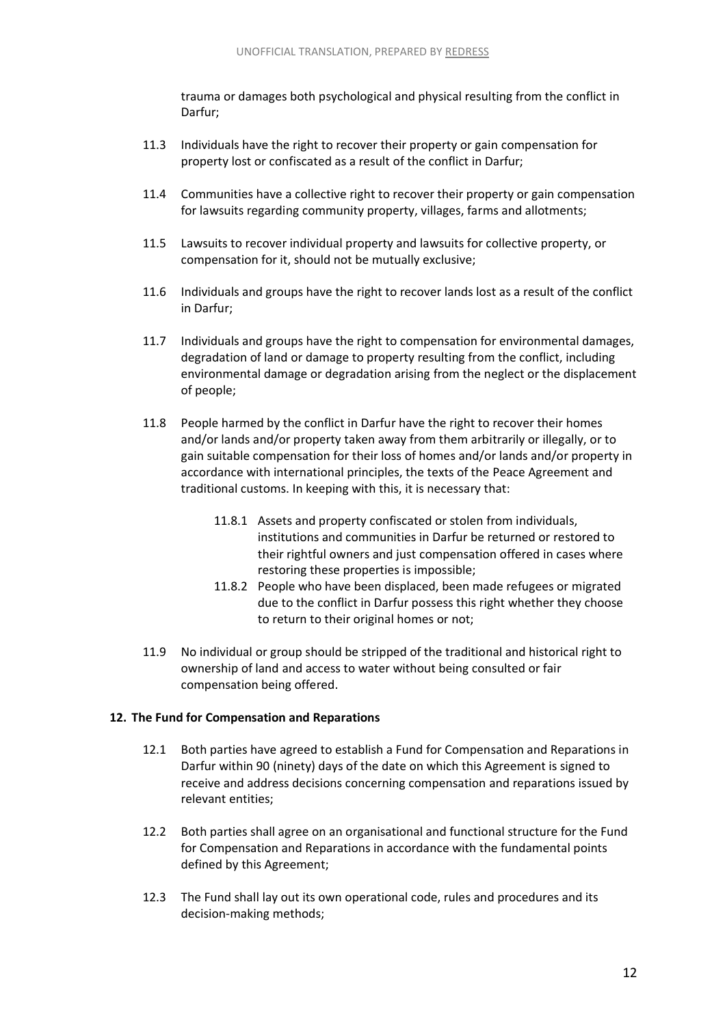trauma or damages both psychological and physical resulting from the conflict in Darfur;

- 11.3 Individuals have the right to recover their property or gain compensation for property lost or confiscated as a result of the conflict in Darfur;
- 11.4 Communities have a collective right to recover their property or gain compensation for lawsuits regarding community property, villages, farms and allotments;
- 11.5 Lawsuits to recover individual property and lawsuits for collective property, or compensation for it, should not be mutually exclusive;
- 11.6 Individuals and groups have the right to recover lands lost as a result of the conflict in Darfur;
- 11.7 Individuals and groups have the right to compensation for environmental damages, degradation of land or damage to property resulting from the conflict, including environmental damage or degradation arising from the neglect or the displacement of people;
- 11.8 People harmed by the conflict in Darfur have the right to recover their homes and/or lands and/or property taken away from them arbitrarily or illegally, or to gain suitable compensation for their loss of homes and/or lands and/or property in accordance with international principles, the texts of the Peace Agreement and traditional customs. In keeping with this, it is necessary that:
	- 11.8.1 Assets and property confiscated or stolen from individuals, institutions and communities in Darfur be returned or restored to their rightful owners and just compensation offered in cases where restoring these properties is impossible;
	- 11.8.2 People who have been displaced, been made refugees or migrated due to the conflict in Darfur possess this right whether they choose to return to their original homes or not;
- 11.9 No individual or group should be stripped of the traditional and historical right to ownership of land and access to water without being consulted or fair compensation being offered.

#### **12. The Fund for Compensation and Reparations**

- 12.1 Both parties have agreed to establish a Fund for Compensation and Reparations in Darfur within 90 (ninety) days of the date on which this Agreement is signed to receive and address decisions concerning compensation and reparations issued by relevant entities;
- 12.2 Both parties shall agree on an organisational and functional structure for the Fund for Compensation and Reparations in accordance with the fundamental points defined by this Agreement;
- 12.3 The Fund shall lay out its own operational code, rules and procedures and its decision-making methods;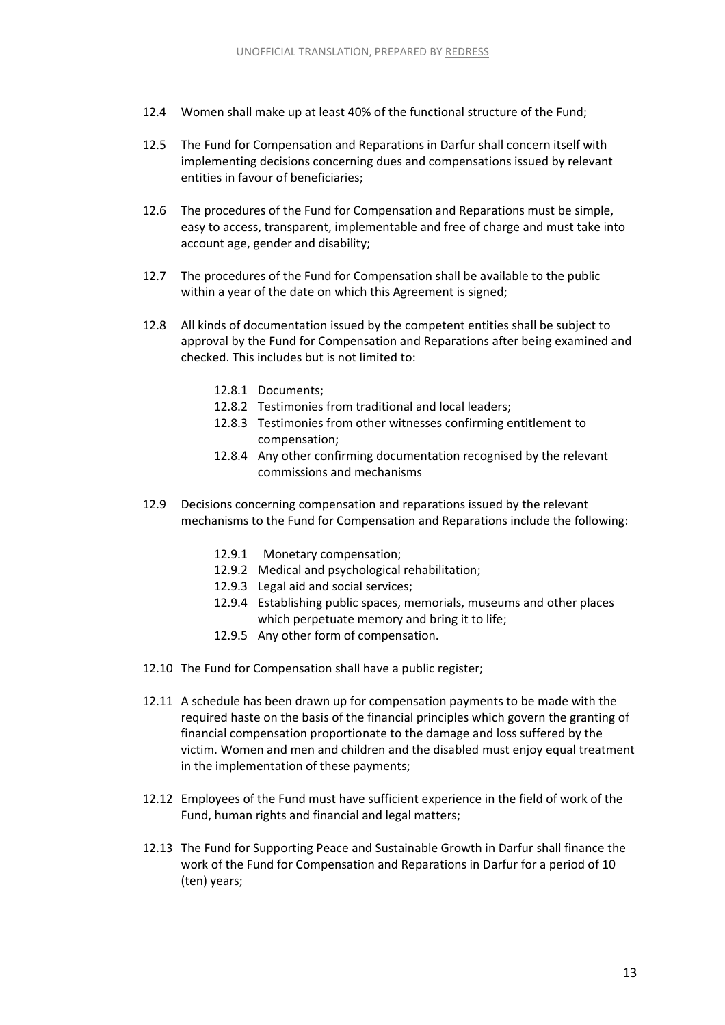- 12.4 Women shall make up at least 40% of the functional structure of the Fund;
- 12.5 The Fund for Compensation and Reparations in Darfur shall concern itself with implementing decisions concerning dues and compensations issued by relevant entities in favour of beneficiaries;
- 12.6 The procedures of the Fund for Compensation and Reparations must be simple, easy to access, transparent, implementable and free of charge and must take into account age, gender and disability;
- 12.7 The procedures of the Fund for Compensation shall be available to the public within a year of the date on which this Agreement is signed;
- 12.8 All kinds of documentation issued by the competent entities shall be subject to approval by the Fund for Compensation and Reparations after being examined and checked. This includes but is not limited to:
	- 12.8.1 Documents;
	- 12.8.2 Testimonies from traditional and local leaders;
	- 12.8.3 Testimonies from other witnesses confirming entitlement to compensation;
	- 12.8.4 Any other confirming documentation recognised by the relevant commissions and mechanisms
- 12.9 Decisions concerning compensation and reparations issued by the relevant mechanisms to the Fund for Compensation and Reparations include the following:
	- 12.9.1 Monetary compensation;
	- 12.9.2 Medical and psychological rehabilitation;
	- 12.9.3 Legal aid and social services;
	- 12.9.4 Establishing public spaces, memorials, museums and other places which perpetuate memory and bring it to life;
	- 12.9.5 Any other form of compensation.
- 12.10 The Fund for Compensation shall have a public register;
- 12.11 A schedule has been drawn up for compensation payments to be made with the required haste on the basis of the financial principles which govern the granting of financial compensation proportionate to the damage and loss suffered by the victim. Women and men and children and the disabled must enjoy equal treatment in the implementation of these payments;
- 12.12 Employees of the Fund must have sufficient experience in the field of work of the Fund, human rights and financial and legal matters;
- 12.13 The Fund for Supporting Peace and Sustainable Growth in Darfur shall finance the work of the Fund for Compensation and Reparations in Darfur for a period of 10 (ten) years;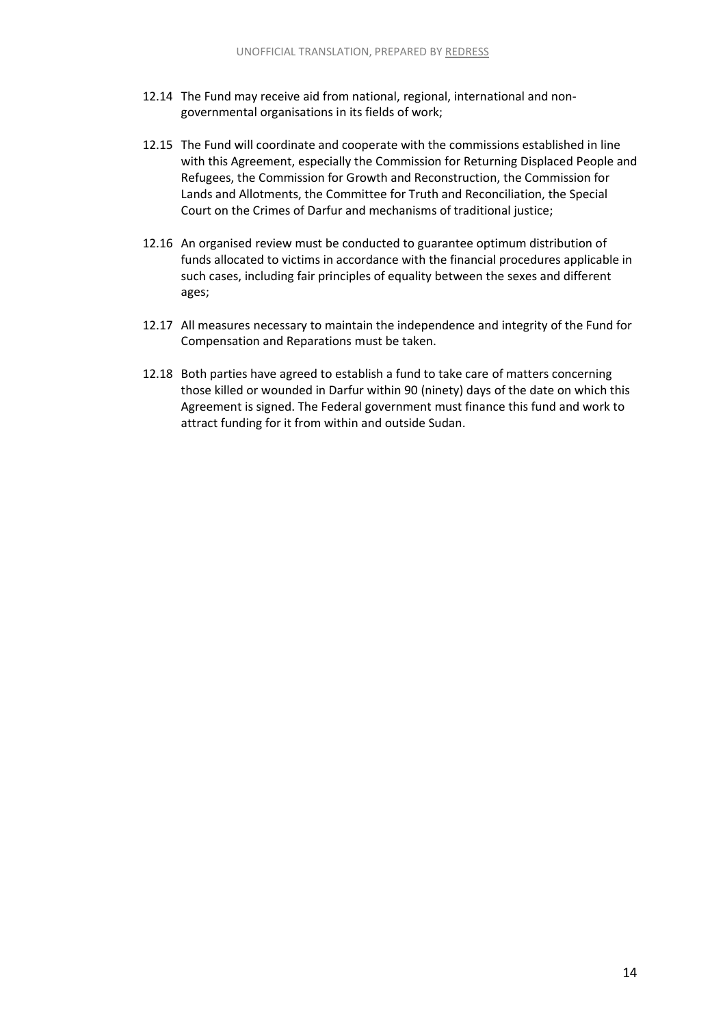- 12.14 The Fund may receive aid from national, regional, international and nongovernmental organisations in its fields of work;
- 12.15 The Fund will coordinate and cooperate with the commissions established in line with this Agreement, especially the Commission for Returning Displaced People and Refugees, the Commission for Growth and Reconstruction, the Commission for Lands and Allotments, the Committee for Truth and Reconciliation, the Special Court on the Crimes of Darfur and mechanisms of traditional justice;
- 12.16 An organised review must be conducted to guarantee optimum distribution of funds allocated to victims in accordance with the financial procedures applicable in such cases, including fair principles of equality between the sexes and different ages;
- 12.17 All measures necessary to maintain the independence and integrity of the Fund for Compensation and Reparations must be taken.
- 12.18 Both parties have agreed to establish a fund to take care of matters concerning those killed or wounded in Darfur within 90 (ninety) days of the date on which this Agreement is signed. The Federal government must finance this fund and work to attract funding for it from within and outside Sudan.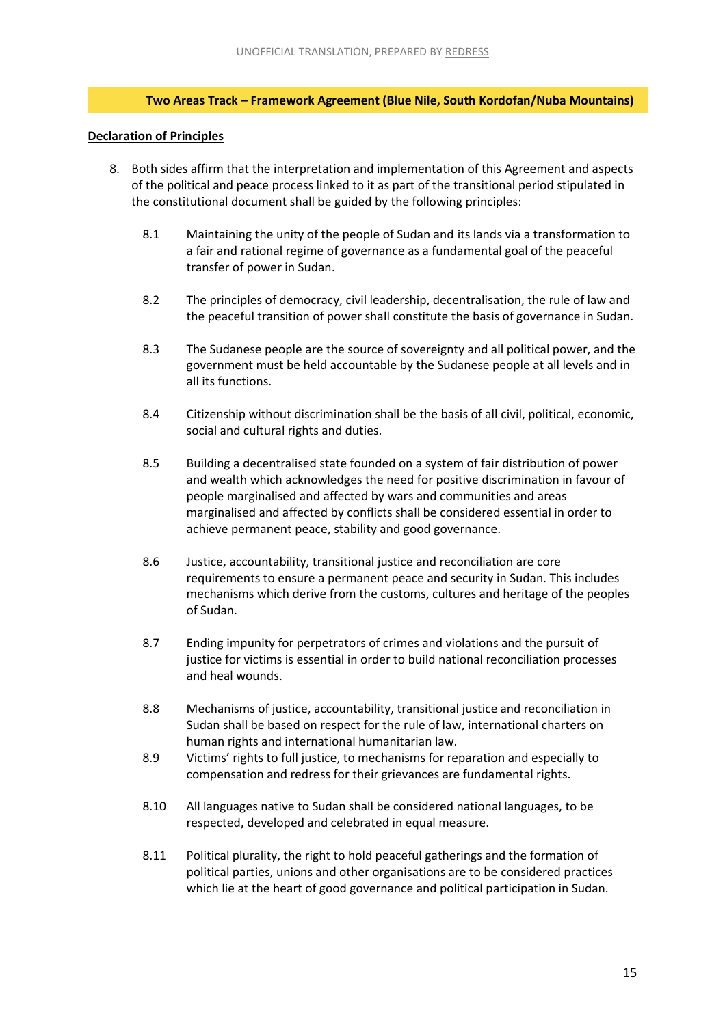# **Two Areas Track – Framework Agreement (Blue Nile, South Kordofan/Nuba Mountains)**

#### <span id="page-15-0"></span>**Declaration of Principles**

- 8. Both sides affirm that the interpretation and implementation of this Agreement and aspects of the political and peace process linked to it as part of the transitional period stipulated in the constitutional document shall be guided by the following principles:
	- 8.1 Maintaining the unity of the people of Sudan and its lands via a transformation to a fair and rational regime of governance as a fundamental goal of the peaceful transfer of power in Sudan.
	- 8.2 The principles of democracy, civil leadership, decentralisation, the rule of law and the peaceful transition of power shall constitute the basis of governance in Sudan.
	- 8.3 The Sudanese people are the source of sovereignty and all political power, and the government must be held accountable by the Sudanese people at all levels and in all its functions.
	- 8.4 Citizenship without discrimination shall be the basis of all civil, political, economic, social and cultural rights and duties.
	- 8.5 Building a decentralised state founded on a system of fair distribution of power and wealth which acknowledges the need for positive discrimination in favour of people marginalised and affected by wars and communities and areas marginalised and affected by conflicts shall be considered essential in order to achieve permanent peace, stability and good governance.
	- 8.6 Justice, accountability, transitional justice and reconciliation are core requirements to ensure a permanent peace and security in Sudan. This includes mechanisms which derive from the customs, cultures and heritage of the peoples of Sudan.
	- 8.7 Ending impunity for perpetrators of crimes and violations and the pursuit of justice for victims is essential in order to build national reconciliation processes and heal wounds.
	- 8.8 Mechanisms of justice, accountability, transitional justice and reconciliation in Sudan shall be based on respect for the rule of law, international charters on human rights and international humanitarian law.
	- 8.9 Victims' rights to full justice, to mechanisms for reparation and especially to compensation and redress for their grievances are fundamental rights.
	- 8.10 All languages native to Sudan shall be considered national languages, to be respected, developed and celebrated in equal measure.
	- 8.11 Political plurality, the right to hold peaceful gatherings and the formation of political parties, unions and other organisations are to be considered practices which lie at the heart of good governance and political participation in Sudan.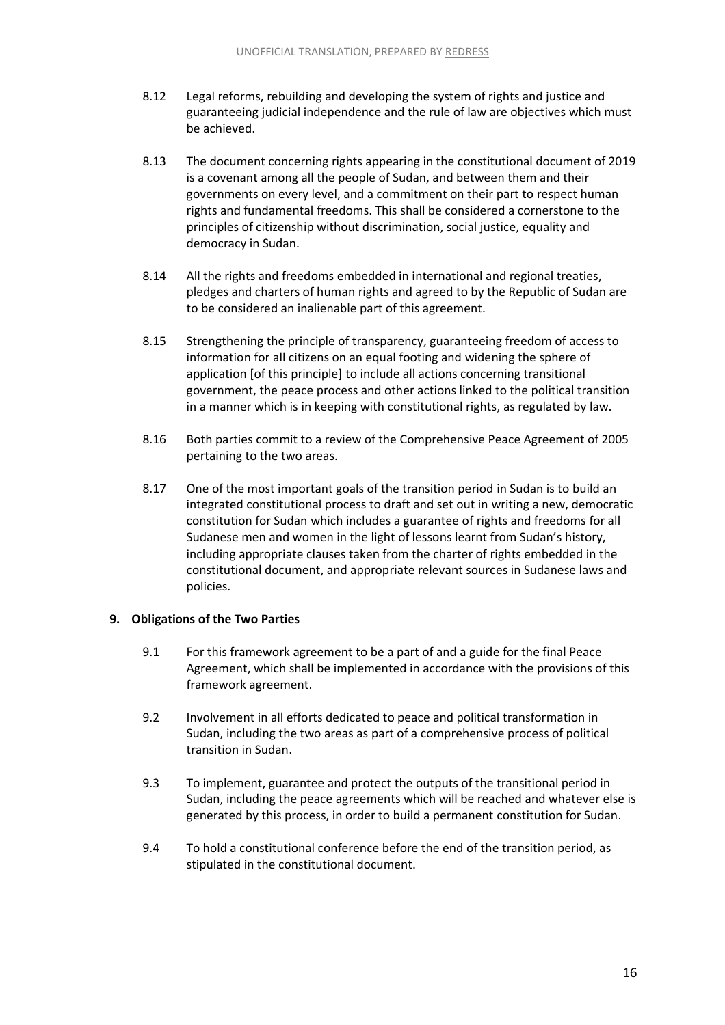- 8.12 Legal reforms, rebuilding and developing the system of rights and justice and guaranteeing judicial independence and the rule of law are objectives which must be achieved.
- 8.13 The document concerning rights appearing in the constitutional document of 2019 is a covenant among all the people of Sudan, and between them and their governments on every level, and a commitment on their part to respect human rights and fundamental freedoms. This shall be considered a cornerstone to the principles of citizenship without discrimination, social justice, equality and democracy in Sudan.
- 8.14 All the rights and freedoms embedded in international and regional treaties, pledges and charters of human rights and agreed to by the Republic of Sudan are to be considered an inalienable part of this agreement.
- 8.15 Strengthening the principle of transparency, guaranteeing freedom of access to information for all citizens on an equal footing and widening the sphere of application [of this principle] to include all actions concerning transitional government, the peace process and other actions linked to the political transition in a manner which is in keeping with constitutional rights, as regulated by law.
- 8.16 Both parties commit to a review of the Comprehensive Peace Agreement of 2005 pertaining to the two areas.
- 8.17 One of the most important goals of the transition period in Sudan is to build an integrated constitutional process to draft and set out in writing a new, democratic constitution for Sudan which includes a guarantee of rights and freedoms for all Sudanese men and women in the light of lessons learnt from Sudan's history, including appropriate clauses taken from the charter of rights embedded in the constitutional document, and appropriate relevant sources in Sudanese laws and policies.

#### **9. Obligations of the Two Parties**

- 9.1 For this framework agreement to be a part of and a guide for the final Peace Agreement, which shall be implemented in accordance with the provisions of this framework agreement.
- 9.2 Involvement in all efforts dedicated to peace and political transformation in Sudan, including the two areas as part of a comprehensive process of political transition in Sudan.
- 9.3 To implement, guarantee and protect the outputs of the transitional period in Sudan, including the peace agreements which will be reached and whatever else is generated by this process, in order to build a permanent constitution for Sudan.
- 9.4 To hold a constitutional conference before the end of the transition period, as stipulated in the constitutional document.